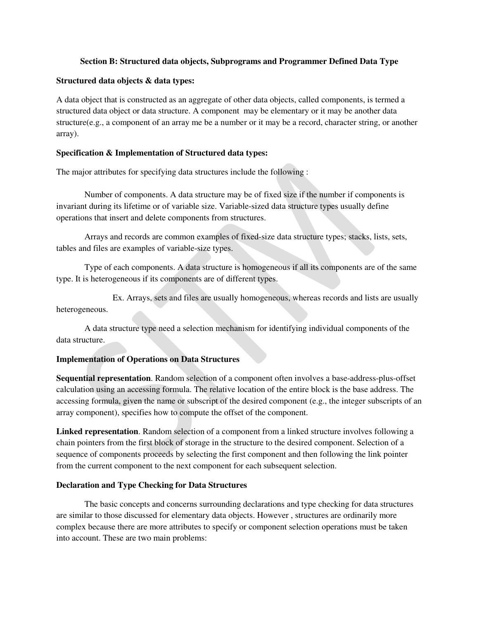### **Section B: Structured data objects, Subprograms and Programmer Defined Data Type**

### **Structured data objects & data types:**

A data object that is constructed as an aggregate of other data objects, called components, is termed a structured data object or data structure. A component may be elementary or it may be another data structure(e.g., a component of an array me be a number or it may be a record, character string, or another array).

### **Specification & Implementation of Structured data types:**

The major attributes for specifying data structures include the following :

 Number of components. A data structure may be of fixed size if the number if components is invariant during its lifetime or of variable size. Variable-sized data structure types usually define operations that insert and delete components from structures.

 Arrays and records are common examples of fixed-size data structure types; stacks, lists, sets, tables and files are examples of variable-size types.

 Type of each components. A data structure is homogeneous if all its components are of the same type. It is heterogeneous if its components are of different types.

 Ex. Arrays, sets and files are usually homogeneous, whereas records and lists are usually heterogeneous.

 A data structure type need a selection mechanism for identifying individual components of the data structure.

## **Implementation of Operations on Data Structures**

**Sequential representation**. Random selection of a component often involves a base-address-plus-offset calculation using an accessing formula. The relative location of the entire block is the base address. The accessing formula, given the name or subscript of the desired component (e.g., the integer subscripts of an array component), specifies how to compute the offset of the component.

**Linked representation**. Random selection of a component from a linked structure involves following a chain pointers from the first block of storage in the structure to the desired component. Selection of a sequence of components proceeds by selecting the first component and then following the link pointer from the current component to the next component for each subsequent selection.

#### **Declaration and Type Checking for Data Structures**

 The basic concepts and concerns surrounding declarations and type checking for data structures are similar to those discussed for elementary data objects. However , structures are ordinarily more complex because there are more attributes to specify or component selection operations must be taken into account. These are two main problems: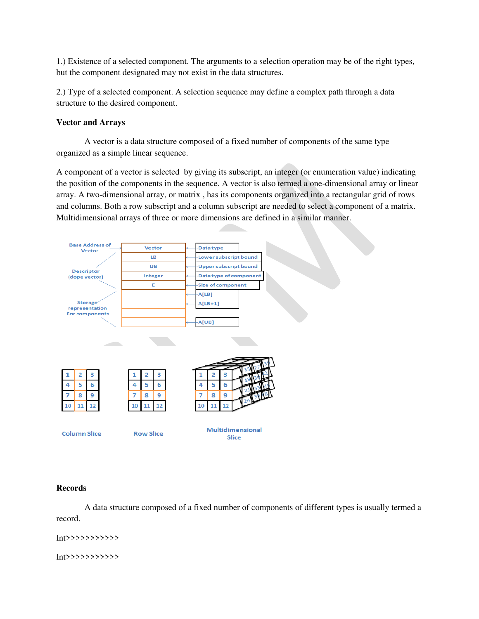1.) Existence of a selected component. The arguments to a selection operation may be of the right types, but the component designated may not exist in the data structures.

2.) Type of a selected component. A selection sequence may define a complex path through a data structure to the desired component.

## **Vector and Arrays**

 A vector is a data structure composed of a fixed number of components of the same type organized as a simple linear sequence.

A component of a vector is selected by giving its subscript, an integer (or enumeration value) indicating the position of the components in the sequence. A vector is also termed a one-dimensional array or linear array. A two-dimensional array, or matrix , has its components organized into a rectangular grid of rows and columns. Both a row subscript and a column subscript are needed to select a component of a matrix. Multidimensional arrays of three or more dimensions are defined in a similar manner.



## **Records**

 A data structure composed of a fixed number of components of different types is usually termed a record.

Int>>>>>>>>>>>

Int>>>>>>>>>>>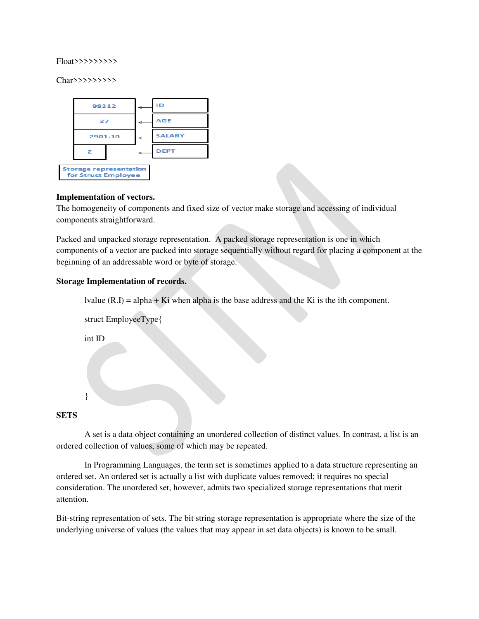#### Float>>>>>>>>>

Char>>>>>>>>>>



## **Implementation of vectors.**

The homogeneity of components and fixed size of vector make storage and accessing of individual components straightforward.

Packed and unpacked storage representation. A packed storage representation is one in which components of a vector are packed into storage sequentially without regard for placing a component at the beginning of an addressable word or byte of storage.

## **Storage Implementation of records.**

lvalue  $(R,I) = alpha + Ki$  when alpha is the base address and the Ki is the ith component.

 struct EmployeeType{ int ID }

## **SETS**

A set is a data object containing an unordered collection of distinct values. In contrast, a list is an ordered collection of values, some of which may be repeated.

 In Programming Languages, the term set is sometimes applied to a data structure representing an ordered set. An ordered set is actually a list with duplicate values removed; it requires no special consideration. The unordered set, however, admits two specialized storage representations that merit attention.

Bit-string representation of sets. The bit string storage representation is appropriate where the size of the underlying universe of values (the values that may appear in set data objects) is known to be small.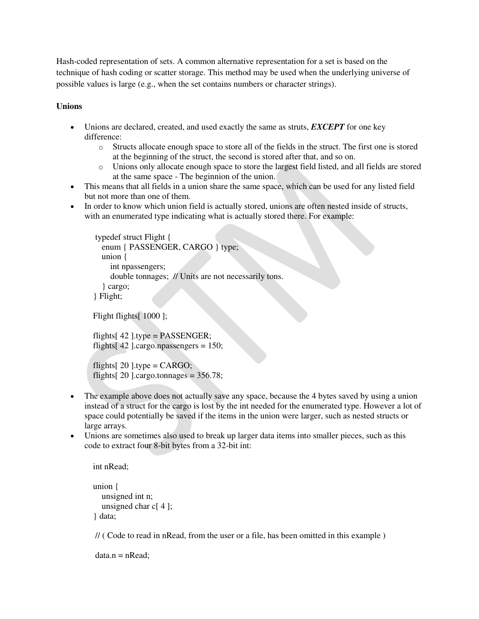Hash-coded representation of sets. A common alternative representation for a set is based on the technique of hash coding or scatter storage. This method may be used when the underlying universe of possible values is large (e.g., when the set contains numbers or character strings).

# **Unions**

- Unions are declared, created, and used exactly the same as struts, *EXCEPT* for one key difference:
	- o Structs allocate enough space to store all of the fields in the struct. The first one is stored at the beginning of the struct, the second is stored after that, and so on.
	- o Unions only allocate enough space to store the largest field listed, and all fields are stored at the same space - The beginnion of the union.
- This means that all fields in a union share the same space, which can be used for any listed field but not more than one of them.
- In order to know which union field is actually stored, unions are often nested inside of structs, with an enumerated type indicating what is actually stored there. For example:

```
 typedef struct Flight { 
   enum { PASSENGER, CARGO } type; 
   union { 
      int npassengers; 
      double tonnages; // Units are not necessarily tons. 
   } cargo; 
 } Flight;
```
Flight flights[ 1000 ];

```
flights[42].type = PASSENGER;
flights[42].cargo.npassengers = 150;
```

```
flights[20].type = CARGO;
flights[20].cargo.tonnages = 356.78;
```
- The example above does not actually save any space, because the 4 bytes saved by using a union instead of a struct for the cargo is lost by the int needed for the enumerated type. However a lot of space could potentially be saved if the items in the union were larger, such as nested structs or large arrays.
- Unions are sometimes also used to break up larger data items into smaller pieces, such as this code to extract four 8-bit bytes from a 32-bit int:

```
 int nRead;
```

```
 union { 
    unsigned int n; 
    unsigned char c[ 4 ]; 
 } data;
```
// ( Code to read in nRead, from the user or a file, has been omitted in this example )

```
data.n = nRead:
```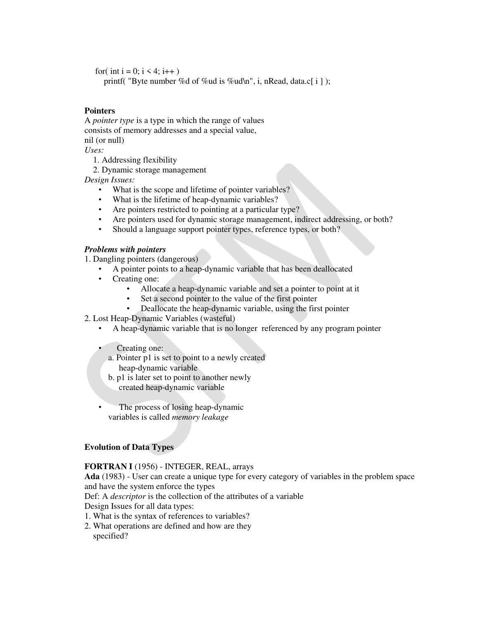for( int i = 0; i < 4; i++)

printf( "Byte number %d of %ud is %ud\n", i, nRead, data.c[ i ] );

### **Pointers**

A *pointer type* is a type in which the range of values consists of memory addresses and a special value, nil (or null) *Uses:*

1. Addressing flexibility

2. Dynamic storage management

*Design Issues:*

- What is the scope and lifetime of pointer variables?
- What is the lifetime of heap-dynamic variables?
- Are pointers restricted to pointing at a particular type?
- Are pointers used for dynamic storage management, indirect addressing, or both?
- Should a language support pointer types, reference types, or both?

### *Problems with pointers*

1. Dangling pointers (dangerous)

- A pointer points to a heap-dynamic variable that has been deallocated
- Creating one:
	- Allocate a heap-dynamic variable and set a pointer to point at it
	- Set a second pointer to the value of the first pointer
	- Deallocate the heap-dynamic variable, using the first pointer
- 2. Lost Heap-Dynamic Variables (wasteful)
	- A heap-dynamic variable that is no longer referenced by any program pointer
	- Creating one:
		- a. Pointer p1 is set to point to a newly created heap-dynamic variable
		- b. p1 is later set to point to another newly created heap-dynamic variable
	- The process of losing heap-dynamic variables is called *memory leakage*

## **Evolution of Data Types**

#### **FORTRAN I** (1956) - INTEGER, REAL, arrays

**Ada** (1983) - User can create a unique type for every category of variables in the problem space and have the system enforce the types

Def: A *descriptor* is the collection of the attributes of a variable

Design Issues for all data types:

- 1. What is the syntax of references to variables?
- 2. What operations are defined and how are they specified?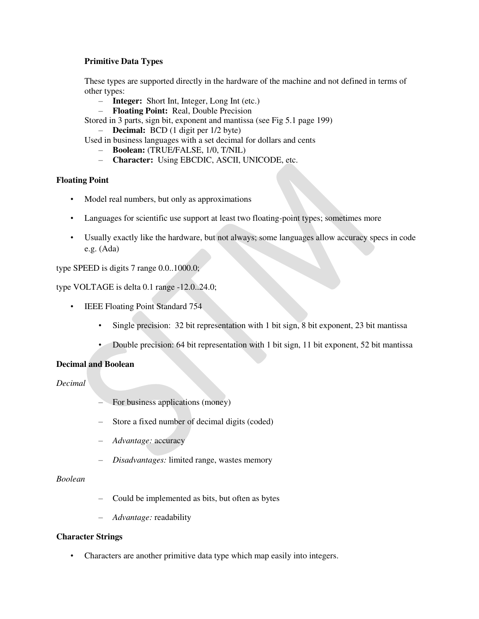## **Primitive Data Types**

These types are supported directly in the hardware of the machine and not defined in terms of other types:

- **Integer:** Short Int, Integer, Long Int (etc.)
- **Floating Point:** Real, Double Precision

Stored in 3 parts, sign bit, exponent and mantissa (see Fig 5.1 page 199)

– **Decimal:** BCD (1 digit per 1/2 byte)

Used in business languages with a set decimal for dollars and cents

- **Boolean:** (TRUE/FALSE, 1/0, T/NIL)
- **Character:** Using EBCDIC, ASCII, UNICODE, etc.

## **Floating Point**

- Model real numbers, but only as approximations
- Languages for scientific use support at least two floating-point types; sometimes more
- Usually exactly like the hardware, but not always; some languages allow accuracy specs in code e.g. (Ada)

type SPEED is digits 7 range 0.0..1000.0;

type VOLTAGE is delta 0.1 range -12.0..24.0;

- IEEE Floating Point Standard 754
	- Single precision: 32 bit representation with 1 bit sign, 8 bit exponent, 23 bit mantissa
	- Double precision: 64 bit representation with 1 bit sign, 11 bit exponent, 52 bit mantissa

# **Decimal and Boolean**

*Decimal*

- For business applications (money)
- Store a fixed number of decimal digits (coded)
- *Advantage:* accuracy
- *Disadvantages:* limited range, wastes memory

## *Boolean*

- Could be implemented as bits, but often as bytes
- *Advantage:* readability

## **Character Strings**

• Characters are another primitive data type which map easily into integers.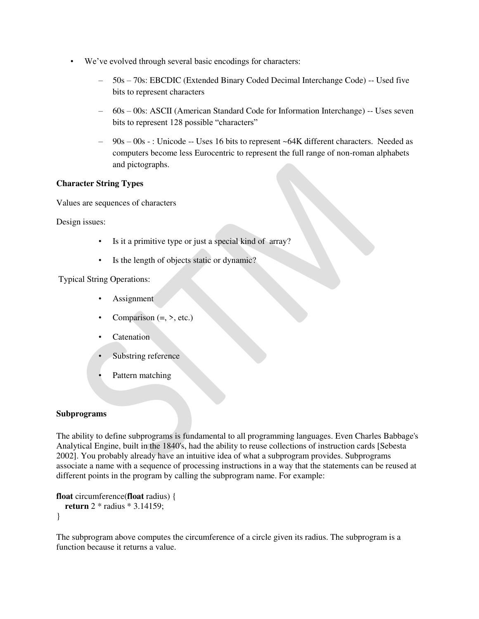- We've evolved through several basic encodings for characters:
	- 50s 70s: EBCDIC (Extended Binary Coded Decimal Interchange Code) -- Used five bits to represent characters
	- 60s 00s: ASCII (American Standard Code for Information Interchange) -- Uses seven bits to represent 128 possible "characters"
	- 90s 00s : Unicode -- Uses 16 bits to represent ~64K different characters. Needed as computers become less Eurocentric to represent the full range of non-roman alphabets and pictographs.

## **Character String Types**

Values are sequences of characters

Design issues:

- Is it a primitive type or just a special kind of array?
- Is the length of objects static or dynamic?

Typical String Operations:

- **Assignment**
- Comparison  $(=, >, etc.)$
- Catenation
- Substring reference
- Pattern matching

## **Subprograms**

The ability to define subprograms is fundamental to all programming languages. Even Charles Babbage's Analytical Engine, built in the 1840's, had the ability to reuse collections of instruction cards [Sebesta 2002]. You probably already have an intuitive idea of what a subprogram provides. Subprograms associate a name with a sequence of processing instructions in a way that the statements can be reused at different points in the program by calling the subprogram name. For example:

```
float circumference(float radius) { 
   return 2 * radius * 3.14159; 
}
```
The subprogram above computes the circumference of a circle given its radius. The subprogram is a function because it returns a value.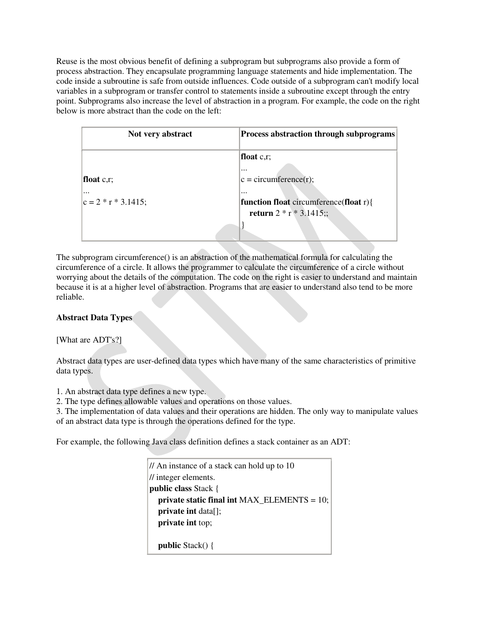Reuse is the most obvious benefit of defining a subprogram but subprograms also provide a form of process abstraction. They encapsulate programming language statements and hide implementation. The code inside a subroutine is safe from outside influences. Code outside of a subprogram can't modify local variables in a subprogram or transfer control to statements inside a subroutine except through the entry point. Subprograms also increase the level of abstraction in a program. For example, the code on the right below is more abstract than the code on the left:

| Not very abstract      | <b>Process abstraction through subprograms</b> |  |
|------------------------|------------------------------------------------|--|
|                        | float $c, r$ ;                                 |  |
|                        | $\cdots$                                       |  |
| float $c, r$ ;         | $c = circumference(r);$                        |  |
| $\cdots$               | $\cdots$                                       |  |
| $ c = 2 * r * 3.1415;$ | function float circumference(float $r$ ){      |  |
|                        | return $2 * r * 3.1415$ ;;                     |  |
|                        |                                                |  |

The subprogram circumference() is an abstraction of the mathematical formula for calculating the circumference of a circle. It allows the programmer to calculate the circumference of a circle without worrying about the details of the computation. The code on the right is easier to understand and maintain because it is at a higher level of abstraction. Programs that are easier to understand also tend to be more reliable.

# **Abstract Data Types**

[What are ADT's?]

Abstract data types are user-defined data types which have many of the same characteristics of primitive data types.

1. An abstract data type defines a new type.

2. The type defines allowable values and operations on those values.

3. The implementation of data values and their operations are hidden. The only way to manipulate values of an abstract data type is through the operations defined for the type.

For example, the following Java class definition defines a stack container as an ADT:

```
// An instance of a stack can hold up to 10 
// integer elements.
public class Stack { 
   private static final int MAX_ELEMENTS = 10; 
   private int data[]; 
   private int top; 
   public Stack() {
```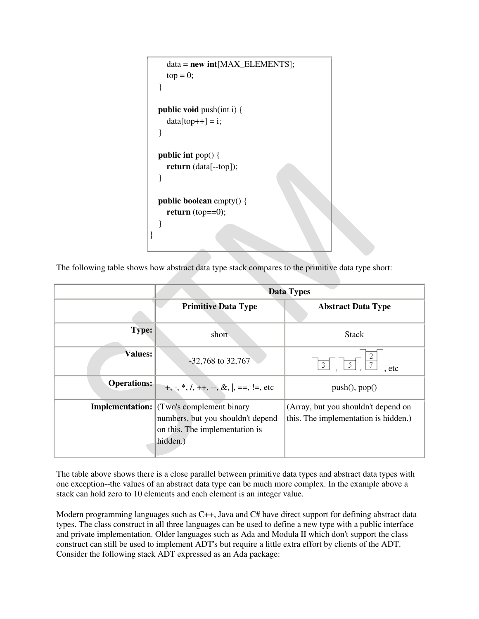```
 data = new int[MAX_ELEMENTS]; 
    top = 0; } 
   public void push(int i) { 
    data[top++] = i; } 
   public int pop() { 
     return (data[--top]); 
   } 
   public boolean empty() { 
    return (top==0);
   } 
}
```
The following table shows how abstract data type stack compares to the primitive data type short:

|                    | <b>Data Types</b>                                                                                                                  |                                                                              |
|--------------------|------------------------------------------------------------------------------------------------------------------------------------|------------------------------------------------------------------------------|
|                    | <b>Primitive Data Type</b>                                                                                                         | <b>Abstract Data Type</b>                                                    |
| <b>Type:</b>       | short                                                                                                                              | <b>Stack</b>                                                                 |
| <b>Values:</b>     | $-32,768$ to 32,767                                                                                                                | $\begin{bmatrix} 3 \end{bmatrix}$<br>$\lceil 5 \rceil$<br>$\vert$ 7<br>. etc |
| <b>Operations:</b> | +, -, *, /, ++, --, &,  , ==, !=, etc                                                                                              | push(), pop()                                                                |
|                    | <b>Implementation:</b> (Two's complement binary<br>numbers, but you shouldn't depend<br>on this. The implementation is<br>hidden.) | (Array, but you shouldn't depend on<br>this. The implementation is hidden.)  |

The table above shows there is a close parallel between primitive data types and abstract data types with one exception--the values of an abstract data type can be much more complex. In the example above a stack can hold zero to 10 elements and each element is an integer value.

Modern programming languages such as C++, Java and C# have direct support for defining abstract data types. The class construct in all three languages can be used to define a new type with a public interface and private implementation. Older languages such as Ada and Modula II which don't support the class construct can still be used to implement ADT's but require a little extra effort by clients of the ADT. Consider the following stack ADT expressed as an Ada package: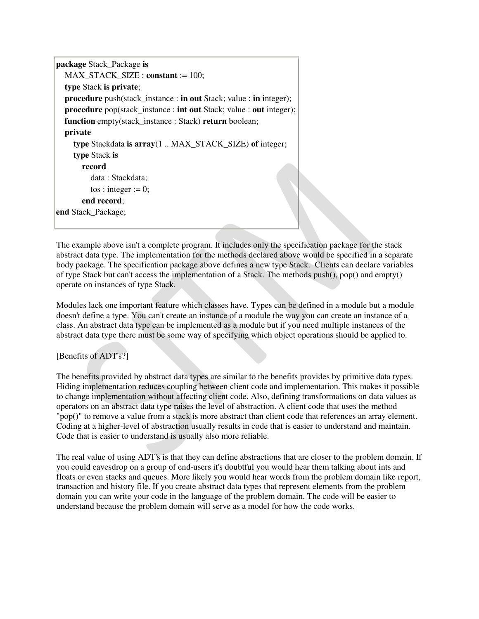```
package Stack_Package is
   MAX_STACK_SIZE : constant := 100; 
   type Stack is private; 
   procedure push(stack_instance : in out Stack; value : in integer); 
  procedure pop(stack instance : int out Stack; value : out integer);
   function empty(stack_instance : Stack) return boolean; 
   private
     type Stackdata is array(1 .. MAX_STACK_SIZE) of integer; 
     type Stack is
        record
           data : Stackdata; 
         tos : integer := 0;
        end record; 
end Stack_Package;
```
The example above isn't a complete program. It includes only the specification package for the stack abstract data type. The implementation for the methods declared above would be specified in a separate body package. The specification package above defines a new type Stack. Clients can declare variables of type Stack but can't access the implementation of a Stack. The methods push(), pop() and empty() operate on instances of type Stack.

Modules lack one important feature which classes have. Types can be defined in a module but a module doesn't define a type. You can't create an instance of a module the way you can create an instance of a class. An abstract data type can be implemented as a module but if you need multiple instances of the abstract data type there must be some way of specifying which object operations should be applied to.

# [Benefits of ADT's?]

The benefits provided by abstract data types are similar to the benefits provides by primitive data types. Hiding implementation reduces coupling between client code and implementation. This makes it possible to change implementation without affecting client code. Also, defining transformations on data values as operators on an abstract data type raises the level of abstraction. A client code that uses the method "pop()" to remove a value from a stack is more abstract than client code that references an array element. Coding at a higher-level of abstraction usually results in code that is easier to understand and maintain. Code that is easier to understand is usually also more reliable.

The real value of using ADT's is that they can define abstractions that are closer to the problem domain. If you could eavesdrop on a group of end-users it's doubtful you would hear them talking about ints and floats or even stacks and queues. More likely you would hear words from the problem domain like report, transaction and history file. If you create abstract data types that represent elements from the problem domain you can write your code in the language of the problem domain. The code will be easier to understand because the problem domain will serve as a model for how the code works.